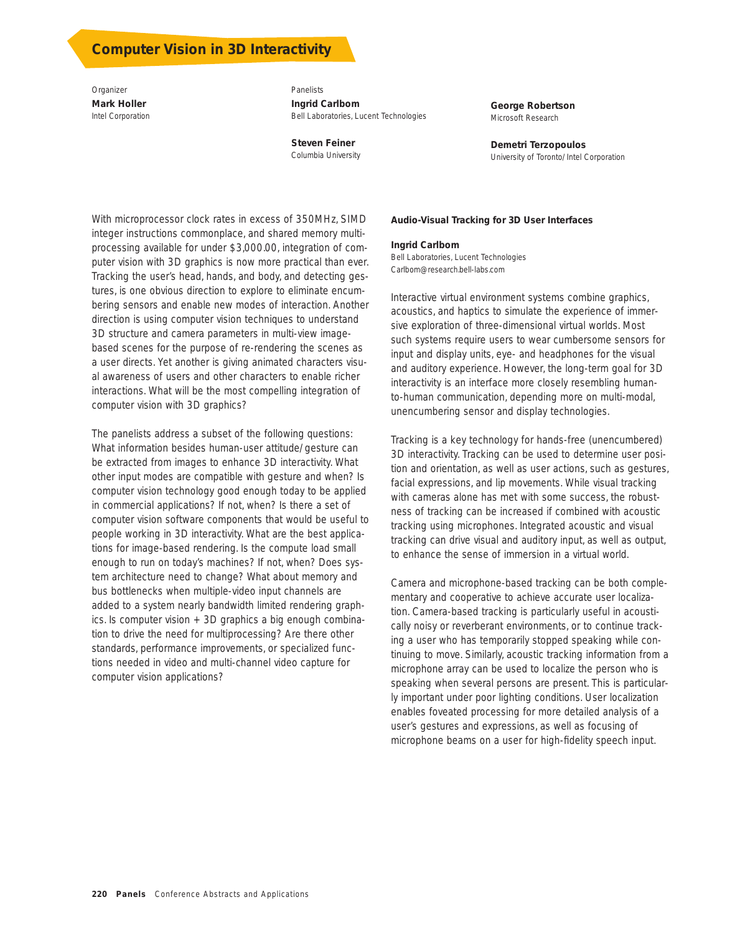## **Computer Vision in 3D Interactivity**

*Organizer* **Mark Holler**  Intel Corporation

*Panelists* **Ingrid Carlbom**  Bell Laboratories, Lucent Technologies

**Steven Feiner**  Columbia University **George Robertson**  Microsoft Research

**Demetri Terzopoulos**  University of Toronto/Intel Corporation

With microprocessor clock rates in excess of 350MHz, SIMD integer instructions commonplace, and shared memory multiprocessing available for under \$3,000.00, integration of computer vision with 3D graphics is now more practical than ever. Tracking the user's head, hands, and body, and detecting gestures, is one obvious direction to explore to eliminate encumbering sensors and enable new modes of interaction. Another direction is using computer vision techniques to understand 3D structure and camera parameters in multi-view imagebased scenes for the purpose of re-rendering the scenes as a user directs. Yet another is giving animated characters visual awareness of users and other characters to enable richer interactions. What will be the most compelling integration of computer vision with 3D graphics?

The panelists address a subset of the following questions: What information besides human-user attitude/gesture can be extracted from images to enhance 3D interactivity. What other input modes are compatible with gesture and when? Is computer vision technology good enough today to be applied in commercial applications? If not, when? Is there a set of computer vision software components that would be useful to people working in 3D interactivity. What are the best applications for image-based rendering. Is the compute load small enough to run on today's machines? If not, when? Does system architecture need to change? What about memory and bus bottlenecks when multiple-video input channels are added to a system nearly bandwidth limited rendering graphics. Is computer vision + 3D graphics a big enough combination to drive the need for multiprocessing? Are there other standards, performance improvements, or specialized functions needed in video and multi-channel video capture for computer vision applications?

#### **Audio-Visual Tracking for 3D User Interfaces**

## **Ingrid Carlbom**

Bell Laboratories, Lucent Technologies Carlbom@research.bell-labs.com

Interactive virtual environment systems combine graphics, acoustics, and haptics to simulate the experience of immersive exploration of three-dimensional virtual worlds. Most such systems require users to wear cumbersome sensors for input and display units, eye- and headphones for the visual and auditory experience. However, the long-term goal for 3D interactivity is an interface more closely resembling humanto-human communication, depending more on multi-modal, unencumbering sensor and display technologies.

Tracking is a key technology for hands-free (unencumbered) 3D interactivity. Tracking can be used to determine user position and orientation, as well as user actions, such as gestures, facial expressions, and lip movements. While visual tracking with cameras alone has met with some success, the robustness of tracking can be increased if combined with acoustic tracking using microphones. Integrated acoustic and visual tracking can drive visual and auditory input, as well as output, to enhance the sense of immersion in a virtual world.

Camera and microphone-based tracking can be both complementary and cooperative to achieve accurate user localization. Camera-based tracking is particularly useful in acoustically noisy or reverberant environments, or to continue tracking a user who has temporarily stopped speaking while continuing to move. Similarly, acoustic tracking information from a microphone array can be used to localize the person who is speaking when several persons are present. This is particularly important under poor lighting conditions. User localization enables foveated processing for more detailed analysis of a user's gestures and expressions, as well as focusing of microphone beams on a user for high-fidelity speech input.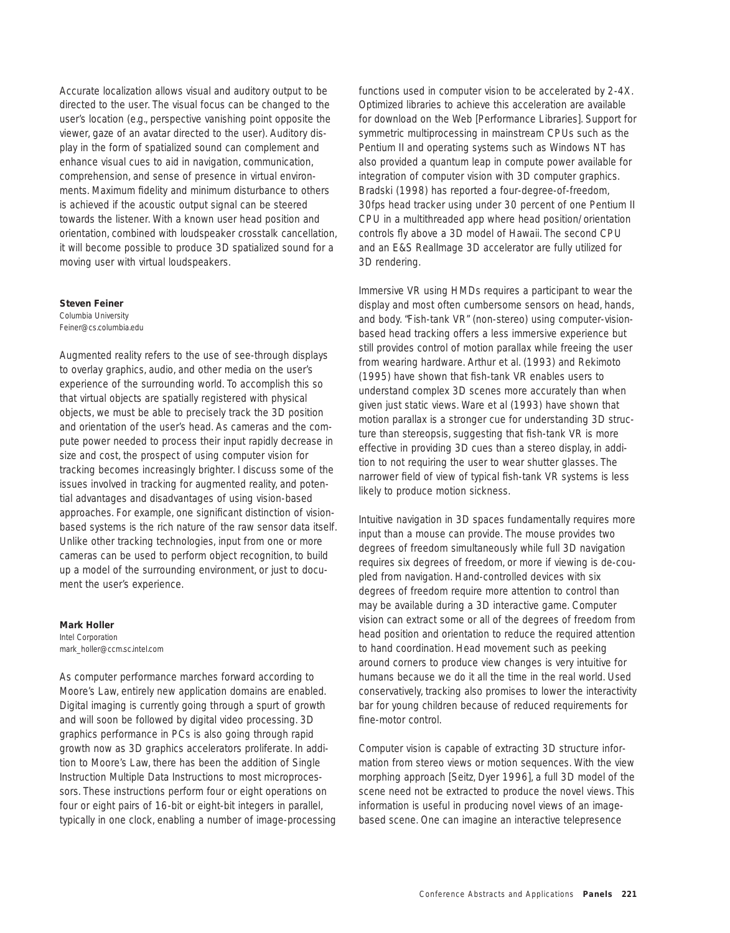Accurate localization allows visual and auditory output to be directed to the user. The visual focus can be changed to the user's location (e.g., perspective vanishing point opposite the viewer, gaze of an avatar directed to the user). Auditory display in the form of spatialized sound can complement and enhance visual cues to aid in navigation, communication, comprehension, and sense of presence in virtual environments. Maximum fidelity and minimum disturbance to others is achieved if the acoustic output signal can be steered towards the listener. With a known user head position and orientation, combined with loudspeaker crosstalk cancellation, it will become possible to produce 3D spatialized sound for a moving user with virtual loudspeakers.

### **Steven Feiner**

Columbia University Feiner@cs.columbia.edu

Augmented reality refers to the use of see-through displays to overlay graphics, audio, and other media on the user's experience of the surrounding world. To accomplish this so that virtual objects are spatially registered with physical objects, we must be able to precisely track the 3D position and orientation of the user's head. As cameras and the compute power needed to process their input rapidly decrease in size and cost, the prospect of using computer vision for tracking becomes increasingly brighter. I discuss some of the issues involved in tracking for augmented reality, and potential advantages and disadvantages of using vision-based approaches. For example, one significant distinction of visionbased systems is the rich nature of the raw sensor data itself. Unlike other tracking technologies, input from one or more cameras can be used to perform object recognition, to build up a model of the surrounding environment, or just to document the user's experience.

## **Mark Holler**

Intel Corporation mark\_holler@ccm.sc.intel.com

As computer performance marches forward according to Moore's Law, entirely new application domains are enabled. Digital imaging is currently going through a spurt of growth and will soon be followed by digital video processing. 3D graphics performance in PCs is also going through rapid growth now as 3D graphics accelerators proliferate. In addition to Moore's Law, there has been the addition of Single Instruction Multiple Data Instructions to most microprocessors. These instructions perform four or eight operations on four or eight pairs of 16-bit or eight-bit integers in parallel, typically in one clock, enabling a number of image-processing functions used in computer vision to be accelerated by 2-4X. Optimized libraries to achieve this acceleration are available for download on the Web [Performance Libraries]. Support for symmetric multiprocessing in mainstream CPUs such as the Pentium II and operating systems such as Windows NT has also provided a quantum leap in compute power available for integration of computer vision with 3D computer graphics. Bradski (1998) has reported a four-degree-of-freedom, 30fps head tracker using under 30 percent of one Pentium II CPU in a multithreaded app where head position/orientation controls fly above a 3D model of Hawaii. The second CPU and an E&S RealImage 3D accelerator are fully utilized for 3D rendering.

Immersive VR using HMDs requires a participant to wear the display and most often cumbersome sensors on head, hands, and body. "Fish-tank VR" (non-stereo) using computer-visionbased head tracking offers a less immersive experience but still provides control of motion parallax while freeing the user from wearing hardware. Arthur et al. (1993) and Rekimoto (1995) have shown that fish-tank VR enables users to understand complex 3D scenes more accurately than when given just static views. Ware et al (1993) have shown that motion parallax is a stronger cue for understanding 3D structure than stereopsis, suggesting that fish-tank VR is more effective in providing 3D cues than a stereo display, in addition to not requiring the user to wear shutter glasses. The narrower field of view of typical fish-tank VR systems is less likely to produce motion sickness.

Intuitive navigation in 3D spaces fundamentally requires more input than a mouse can provide. The mouse provides two degrees of freedom simultaneously while full 3D navigation requires six degrees of freedom, or more if viewing is de-coupled from navigation. Hand-controlled devices with six degrees of freedom require more attention to control than may be available during a 3D interactive game. Computer vision can extract some or all of the degrees of freedom from head position and orientation to reduce the required attention to hand coordination. Head movement such as peeking around corners to produce view changes is very intuitive for humans because we do it all the time in the real world. Used conservatively, tracking also promises to lower the interactivity bar for young children because of reduced requirements for fine-motor control.

Computer vision is capable of extracting 3D structure information from stereo views or motion sequences. With the view morphing approach [Seitz, Dyer 1996], a full 3D model of the scene need not be extracted to produce the novel views. This information is useful in producing novel views of an imagebased scene. One can imagine an interactive telepresence